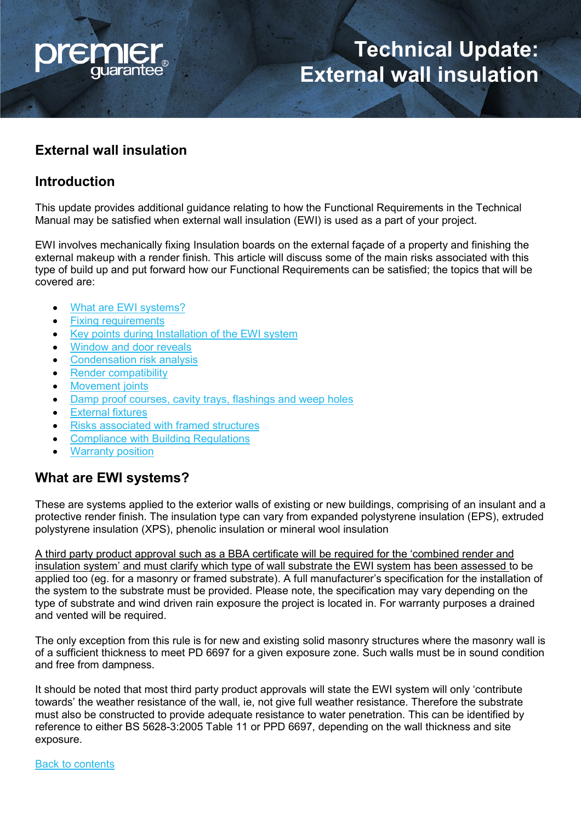

## **External wall insulation**

## **Introduction**

This update provides additional guidance relating to how the Functional Requirements in the Technical Manual may be satisfied when external wall insulation (EWI) is used as a part of your project.

<span id="page-0-1"></span>EWI involves mechanically fixing Insulation boards on the external façade of a property and finishing the external makeup with a render finish. This article will discuss some of the main risks associated with this type of build up and put forward how our Functional Requirements can be satisfied; the topics that will be covered are:

- [What are EWI systems?](#page-0-0)
- **[Fixing requirements](#page-1-0)**
- [Key points during Installation of the EWI system](#page-2-0)
- [Window and door reveals](#page-2-1)
- [Condensation risk analysis](#page-3-0)
- [Render compatibility](#page-3-1)
- [Movement joints](#page-3-2)
- [Damp proof courses, cavity trays, flashings and weep holes](#page-3-3)
- [External fixtures](#page-3-4)
- [Risks associated with framed structures](#page-4-0)
- [Compliance with Building Regulations](#page-4-1)
- **[Warranty position](#page-5-0)**

## <span id="page-0-0"></span>**What are EWI systems?**

These are systems applied to the exterior walls of existing or new buildings, comprising of an insulant and a protective render finish. The insulation type can vary from expanded polystyrene insulation (EPS), extruded polystyrene insulation (XPS), phenolic insulation or mineral wool insulation

A third party product approval such as a BBA certificate will be required for the 'combined render and insulation system' and must clarify which type of wall substrate the EWI system has been assessed to be applied too (eg. for a masonry or framed substrate). A full manufacturer's specification for the installation of the system to the substrate must be provided. Please note, the specification may vary depending on the type of substrate and wind driven rain exposure the project is located in. For warranty purposes a drained and vented will be required.

The only exception from this rule is for new and existing solid masonry structures where the masonry wall is of a sufficient thickness to meet PD 6697 for a given exposure zone. Such walls must be in sound condition and free from dampness.

It should be noted that most third party product approvals will state the EWI system will only 'contribute towards' the weather resistance of the wall, ie, not give full weather resistance. Therefore the substrate must also be constructed to provide adequate resistance to water penetration. This can be identified by reference to either BS 5628-3:2005 Table 11 or PPD 6697, depending on the wall thickness and site exposure.

[Back to contents](#page-0-1)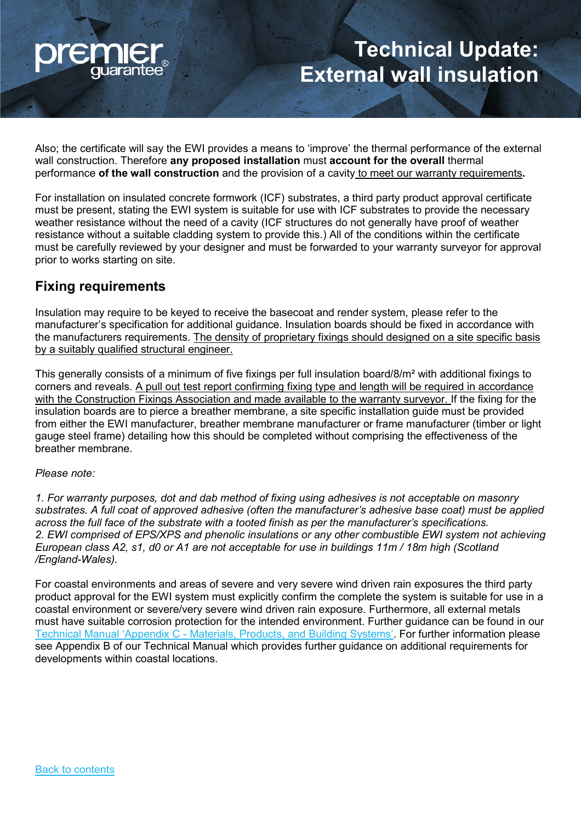

Also; the certificate will say the EWI provides a means to 'improve' the thermal performance of the external wall construction. Therefore **any proposed installation** must **account for the overall** thermal performance **of the wall construction** and the provision of a cavity to meet our warranty requirements**.** 

For installation on insulated concrete formwork (ICF) substrates, a third party product approval certificate must be present, stating the EWI system is suitable for use with ICF substrates to provide the necessary weather resistance without the need of a cavity (ICF structures do not generally have proof of weather resistance without a suitable cladding system to provide this.) All of the conditions within the certificate must be carefully reviewed by your designer and must be forwarded to your warranty surveyor for approval prior to works starting on site.

## <span id="page-1-0"></span>**Fixing requirements**

Insulation may require to be keyed to receive the basecoat and render system, please refer to the manufacturer's specification for additional guidance. Insulation boards should be fixed in accordance with the manufacturers requirements. The density of proprietary fixings should designed on a site specific basis by a suitably qualified structural engineer.

This generally consists of a minimum of five fixings per full insulation board/8/m² with additional fixings to corners and reveals. A pull out test report confirming fixing type and length will be required in accordance with the Construction Fixings Association and made available to the warranty surveyor. If the fixing for the insulation boards are to pierce a breather membrane, a site specific installation guide must be provided from either the EWI manufacturer, breather membrane manufacturer or frame manufacturer (timber or light gauge steel frame) detailing how this should be completed without comprising the effectiveness of the breather membrane.

#### *Please note:*

*1. For warranty purposes, dot and dab method of fixing using adhesives is not acceptable on masonry substrates. A full coat of approved adhesive (often the manufacturer's adhesive base coat) must be applied across the full face of the substrate with a tooted finish as per the manufacturer's specifications. 2. EWI comprised of EPS/XPS and phenolic insulations or any other combustible EWI system not achieving European class A2, s1, d0 or A1 are not acceptable for use in buildings 11m / 18m high (Scotland /England-Wales).*

For coastal environments and areas of severe and very severe wind driven rain exposures the third party product approval for the EWI system must explicitly confirm the complete the system is suitable for use in a coastal environment or severe/very severe wind driven rain exposure. Furthermore, all external metals must have suitable corrosion protection for the intended environment. Further guidance can be found in our Technical Manual 'Appendix C - [Materials, Products, and Building Systems'.](https://www.premierguarantee.com/technical-standards/) For further information please see Appendix B of our Technical Manual which provides further guidance on additional requirements for developments within coastal locations.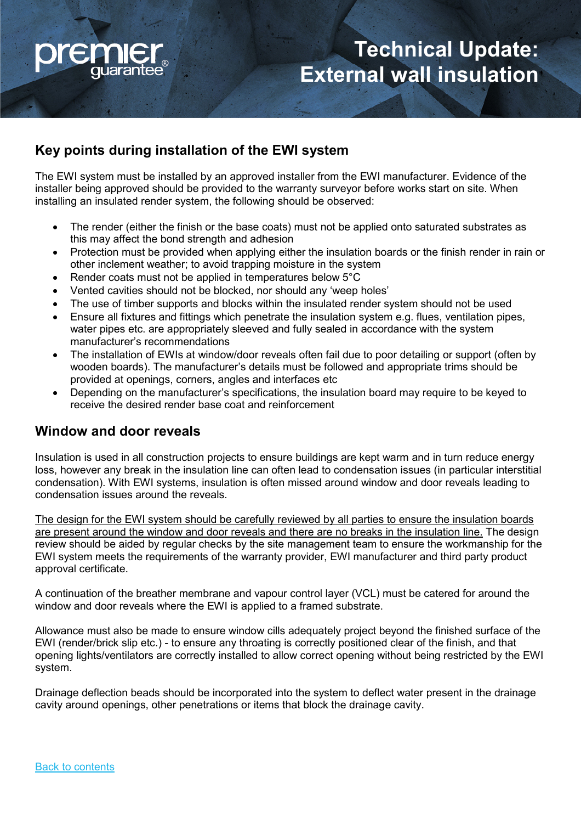

## <span id="page-2-0"></span>**Key points during installation of the EWI system**

The EWI system must be installed by an approved installer from the EWI manufacturer. Evidence of the installer being approved should be provided to the warranty surveyor before works start on site. When installing an insulated render system, the following should be observed:

- The render (either the finish or the base coats) must not be applied onto saturated substrates as this may affect the bond strength and adhesion
- Protection must be provided when applying either the insulation boards or the finish render in rain or other inclement weather; to avoid trapping moisture in the system
- Render coats must not be applied in temperatures below 5°C
- Vented cavities should not be blocked, nor should any 'weep holes'
- The use of timber supports and blocks within the insulated render system should not be used
- Ensure all fixtures and fittings which penetrate the insulation system e.g. flues, ventilation pipes, water pipes etc. are appropriately sleeved and fully sealed in accordance with the system manufacturer's recommendations
- The installation of EWIs at window/door reveals often fail due to poor detailing or support (often by wooden boards). The manufacturer's details must be followed and appropriate trims should be provided at openings, corners, angles and interfaces etc
- Depending on the manufacturer's specifications, the insulation board may require to be keyed to receive the desired render base coat and reinforcement

### <span id="page-2-1"></span>**Window and door reveals**

Insulation is used in all construction projects to ensure buildings are kept warm and in turn reduce energy loss, however any break in the insulation line can often lead to condensation issues (in particular interstitial condensation). With EWI systems, insulation is often missed around window and door reveals leading to condensation issues around the reveals.

The design for the EWI system should be carefully reviewed by all parties to ensure the insulation boards are present around the window and door reveals and there are no breaks in the insulation line. The design review should be aided by regular checks by the site management team to ensure the workmanship for the EWI system meets the requirements of the warranty provider, EWI manufacturer and third party product approval certificate.

A continuation of the breather membrane and vapour control layer (VCL) must be catered for around the window and door reveals where the EWI is applied to a framed substrate.

Allowance must also be made to ensure window cills adequately project beyond the finished surface of the EWI (render/brick slip etc.) - to ensure any throating is correctly positioned clear of the finish, and that opening lights/ventilators are correctly installed to allow correct opening without being restricted by the EWI system.

Drainage deflection beads should be incorporated into the system to deflect water present in the drainage cavity around openings, other penetrations or items that block the drainage cavity.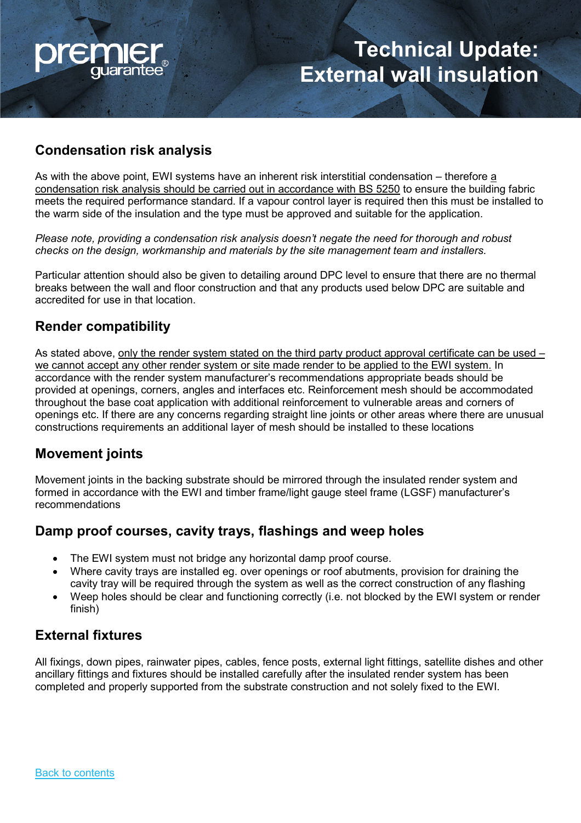

## <span id="page-3-0"></span>**Condensation risk analysis**

As with the above point, EWI systems have an inherent risk interstitial condensation – therefore a condensation risk analysis should be carried out in accordance with BS 5250 to ensure the building fabric meets the required performance standard. If a vapour control layer is required then this must be installed to the warm side of the insulation and the type must be approved and suitable for the application.

*Please note, providing a condensation risk analysis doesn't negate the need for thorough and robust checks on the design, workmanship and materials by the site management team and installers.* 

Particular attention should also be given to detailing around DPC level to ensure that there are no thermal breaks between the wall and floor construction and that any products used below DPC are suitable and accredited for use in that location.

### <span id="page-3-1"></span>**Render compatibility**

As stated above, only the render system stated on the third party product approval certificate can be used – we cannot accept any other render system or site made render to be applied to the EWI system. In accordance with the render system manufacturer's recommendations appropriate beads should be provided at openings, corners, angles and interfaces etc. Reinforcement mesh should be accommodated throughout the base coat application with additional reinforcement to vulnerable areas and corners of openings etc. If there are any concerns regarding straight line joints or other areas where there are unusual constructions requirements an additional layer of mesh should be installed to these locations

#### <span id="page-3-2"></span>**Movement joints**

Movement joints in the backing substrate should be mirrored through the insulated render system and formed in accordance with the EWI and timber frame/light gauge steel frame (LGSF) manufacturer's recommendations

### <span id="page-3-3"></span>**Damp proof courses, cavity trays, flashings and weep holes**

- The EWI system must not bridge any horizontal damp proof course.
- Where cavity trays are installed eg. over openings or roof abutments, provision for draining the cavity tray will be required through the system as well as the correct construction of any flashing
- Weep holes should be clear and functioning correctly (i.e. not blocked by the EWI system or render finish)

## <span id="page-3-4"></span>**External fixtures**

All fixings, down pipes, rainwater pipes, cables, fence posts, external light fittings, satellite dishes and other ancillary fittings and fixtures should be installed carefully after the insulated render system has been completed and properly supported from the substrate construction and not solely fixed to the EWI.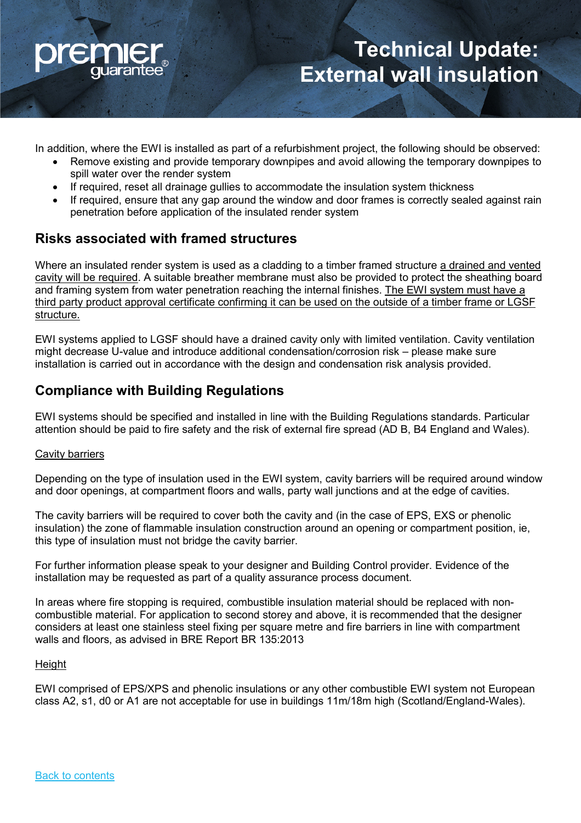

In addition, where the EWI is installed as part of a refurbishment project, the following should be observed:

- Remove existing and provide temporary downpipes and avoid allowing the temporary downpipes to spill water over the render system
- If required, reset all drainage gullies to accommodate the insulation system thickness
- If required, ensure that any gap around the window and door frames is correctly sealed against rain penetration before application of the insulated render system

### <span id="page-4-0"></span>**Risks associated with framed structures**

Where an insulated render system is used as a cladding to a timber framed structure a drained and vented cavity will be required. A suitable breather membrane must also be provided to protect the sheathing board and framing system from water penetration reaching the internal finishes. The EWI system must have a third party product approval certificate confirming it can be used on the outside of a timber frame or LGSF structure.

EWI systems applied to LGSF should have a drained cavity only with limited ventilation. Cavity ventilation might decrease U-value and introduce additional condensation/corrosion risk – please make sure installation is carried out in accordance with the design and condensation risk analysis provided.

### <span id="page-4-1"></span>**Compliance with Building Regulations**

EWI systems should be specified and installed in line with the Building Regulations standards. Particular attention should be paid to fire safety and the risk of external fire spread (AD B, B4 England and Wales).

#### Cavity barriers

Depending on the type of insulation used in the EWI system, cavity barriers will be required around window and door openings, at compartment floors and walls, party wall junctions and at the edge of cavities.

The cavity barriers will be required to cover both the cavity and (in the case of EPS, EXS or phenolic insulation) the zone of flammable insulation construction around an opening or compartment position, ie, this type of insulation must not bridge the cavity barrier.

For further information please speak to your designer and Building Control provider. Evidence of the installation may be requested as part of a quality assurance process document.

In areas where fire stopping is required, combustible insulation material should be replaced with noncombustible material. For application to second storey and above, it is recommended that the designer considers at least one stainless steel fixing per square metre and fire barriers in line with compartment walls and floors, as advised in BRE Report BR 135:2013

#### Height

EWI comprised of EPS/XPS and phenolic insulations or any other combustible EWI system not European class A2, s1, d0 or A1 are not acceptable for use in buildings 11m/18m high (Scotland/England-Wales).